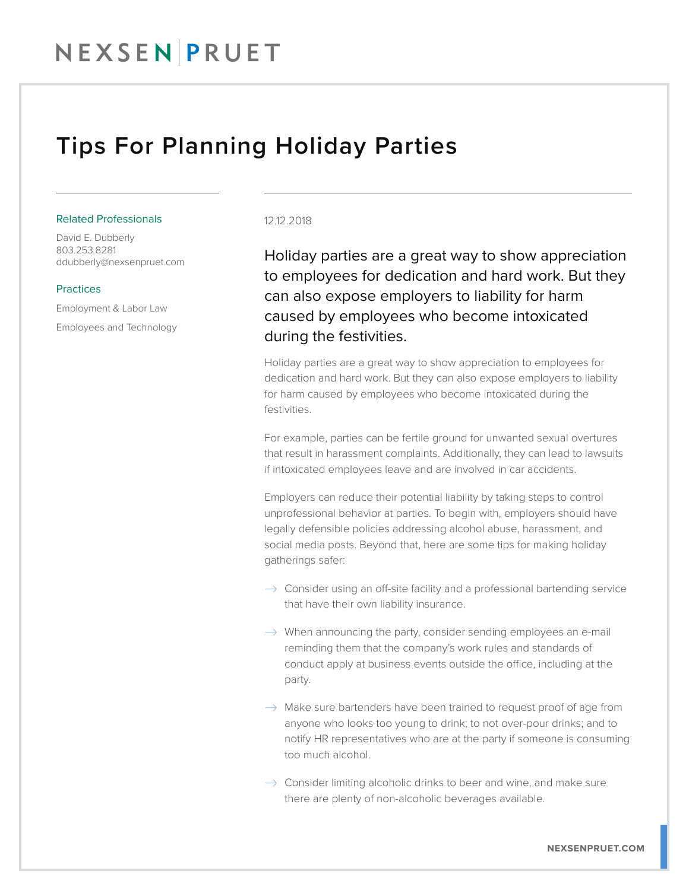## Tips For Planning Holiday Parties

#### Related Professionals

David E. Dubberly 803.253.8281 ddubberly@nexsenpruet.com

#### **Practices**

Employment & Labor Law Employees and Technology

### 12.12.2018

Holiday parties are a great way to show appreciation to employees for dedication and hard work. But they can also expose employers to liability for harm caused by employees who become intoxicated during the festivities.

Holiday parties are a great way to show appreciation to employees for dedication and hard work. But they can also expose employers to liability for harm caused by employees who become intoxicated during the festivities.

For example, parties can be fertile ground for unwanted sexual overtures that result in harassment complaints. Additionally, they can lead to lawsuits if intoxicated employees leave and are involved in car accidents.

Employers can reduce their potential liability by taking steps to control unprofessional behavior at parties. To begin with, employers should have legally defensible policies addressing alcohol abuse, harassment, and social media posts. Beyond that, here are some tips for making holiday gatherings safer:

- $\rightarrow$  Consider using an off-site facility and a professional bartending service that have their own liability insurance.
- $\rightarrow$  When announcing the party, consider sending employees an e-mail reminding them that the company's work rules and standards of conduct apply at business events outside the office, including at the party.
- $\rightarrow$  Make sure bartenders have been trained to request proof of age from anyone who looks too young to drink; to not over-pour drinks; and to notify HR representatives who are at the party if someone is consuming too much alcohol.
- $\rightarrow$  Consider limiting alcoholic drinks to beer and wine, and make sure there are plenty of non-alcoholic beverages available.